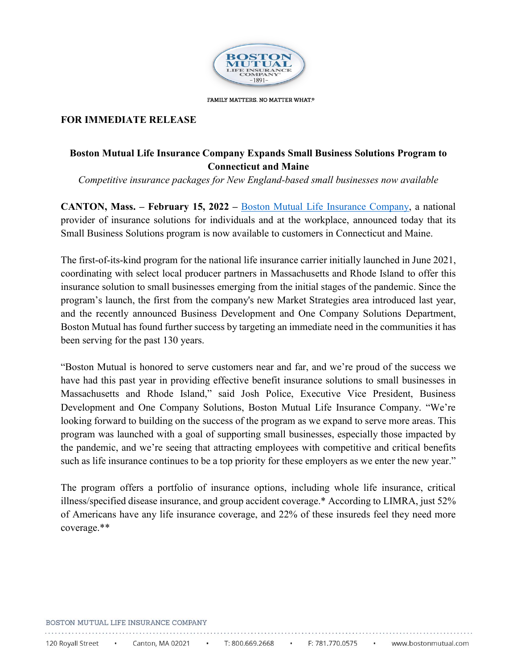

FAMILY MATTERS. NO MATTER WHAT.®

## **FOR IMMEDIATE RELEASE**

# **Boston Mutual Life Insurance Company Expands Small Business Solutions Program to Connecticut and Maine**

*Competitive insurance packages for New England-based small businesses now available* 

 **CANTON, Mass. – February 15, 2022 –** [Boston Mutual Life Insurance Company,](https://www.bostonmutual.com/) a national provider of insurance solutions for individuals and at the workplace, announced today that its Small Business Solutions program is now available to customers in Connecticut and Maine.

 The first-of-its-kind program for the national life insurance carrier initially launched in June 2021, insurance solution to small businesses emerging from the initial stages of the pandemic. Since the and the recently announced Business Development and One Company Solutions Department, Boston Mutual has found further success by targeting an immediate need in the communities it has coordinating with select local producer partners in Massachusetts and Rhode Island to offer this program's launch, the first from the company's new Market Strategies area introduced last year, been serving for the past 130 years.

 Massachusetts and Rhode Island," said Josh Police, Executive Vice President, Business Development and One Company Solutions, Boston Mutual Life Insurance Company. "We're looking forward to building on the success of the program as we expand to serve more areas. This the pandemic, and we're seeing that attracting employees with competitive and critical benefits such as life insurance continues to be a top priority for these employers as we enter the new year." "Boston Mutual is honored to serve customers near and far, and we're proud of the success we have had this past year in providing effective benefit insurance solutions to small businesses in program was launched with a goal of supporting small businesses, especially those impacted by

 The program offers a portfolio of insurance options, including whole life insurance, critical of Americans have any life insurance coverage, and 22% of these insureds feel they need more illness/specified disease insurance, and group accident coverage.\* According to LIMRA, just 52% coverage.\*\*

#### BOSTON MUTUAL LIFE INSURANCE COMPANY